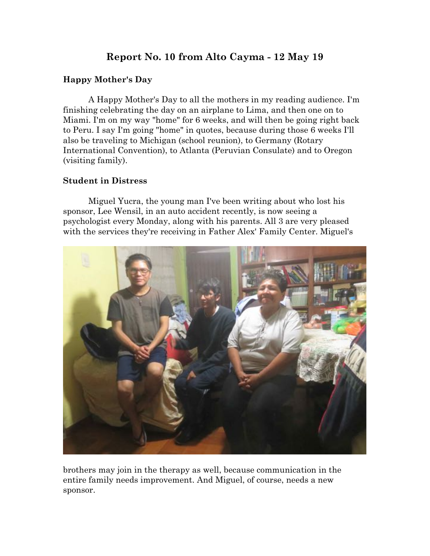# **Report No. 10 from Alto Cayma - 12 May 19**

### **Happy Mother's Day**

A Happy Mother's Day to all the mothers in my reading audience. I'm finishing celebrating the day on an airplane to Lima, and then one on to Miami. I'm on my way "home" for 6 weeks, and will then be going right back to Peru. I say I'm going "home" in quotes, because during those 6 weeks I'll also be traveling to Michigan (school reunion), to Germany (Rotary International Convention), to Atlanta (Peruvian Consulate) and to Oregon (visiting family).

#### **Student in Distress**

Miguel Yucra, the young man I've been writing about who lost his sponsor, Lee Wensil, in an auto accident recently, is now seeing a psychologist every Monday, along with his parents. All 3 are very pleased with the services they're receiving in Father Alex' Family Center. Miguel's



brothers may join in the therapy as well, because communication in the entire family needs improvement. And Miguel, of course, needs a new sponsor.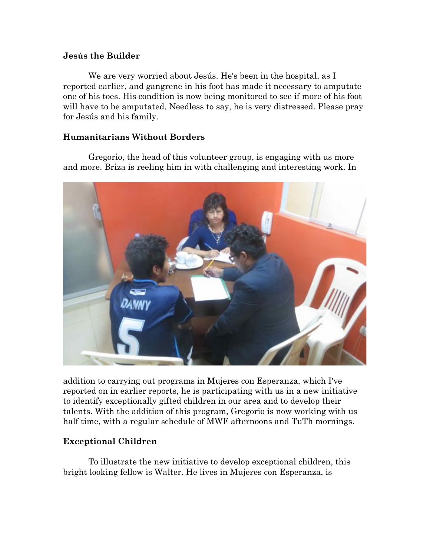#### **Jesús the Builder**

We are very worried about Jesús. He's been in the hospital, as I reported earlier, and gangrene in his foot has made it necessary to amputate one of his toes. His condition is now being monitored to see if more of his foot will have to be amputated. Needless to say, he is very distressed. Please pray for Jesús and his family.

### **Humanitarians Without Borders**

Gregorio, the head of this volunteer group, is engaging with us more and more. Briza is reeling him in with challenging and interesting work. In



addition to carrying out programs in Mujeres con Esperanza, which I've reported on in earlier reports, he is participating with us in a new initiative to identify exceptionally gifted children in our area and to develop their talents. With the addition of this program, Gregorio is now working with us half time, with a regular schedule of MWF afternoons and TuTh mornings.

# **Exceptional Children**

To illustrate the new initiative to develop exceptional children, this bright looking fellow is Walter. He lives in Mujeres con Esperanza, is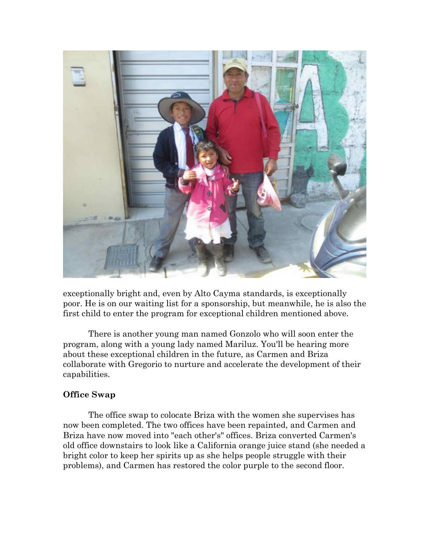

exceptionally bright and, even by Alto Cayma standards, is exceptionally poor. He is on our waiting list for a sponsorship, but meanwhile, he is also the first child to enter the program for exceptional children mentioned above.

There is another young man named Gonzolo who will soon enter the program, along with a young lady named Mariluz. You'll be hearing more about these exceptional children in the future, as Carmen and Briza collaborate with Gregorio to nurture and accelerate the development of their capabilities.

#### **Office Swap**

The office swap to colocate Briza with the women she supervises has now been completed. The two offices have been repainted, and Carmen and Briza have now moved into "each other's" offices. Briza converted Carmen's old office downstairs to look like a California orange juice stand (she needed a bright color to keep her spirits up as she helps people struggle with their problems), and Carmen has restored the color purple to the second floor.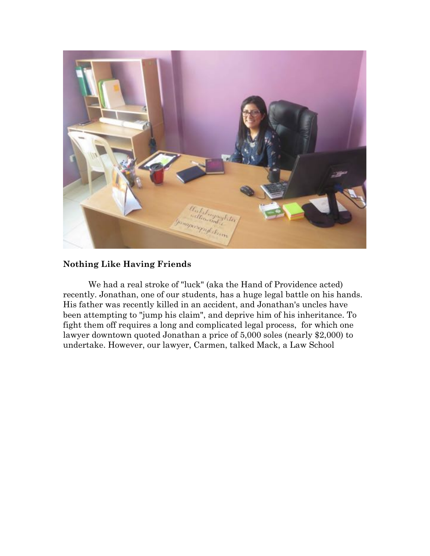

# **Nothing Like Having Friends**

We had a real stroke of "luck" (aka the Hand of Providence acted) recently. Jonathan, one of our students, has a huge legal battle on his hands. His father was recently killed in an accident, and Jonathan's uncles have been attempting to "jump his claim", and deprive him of his inheritance. To fight them off requires a long and complicated legal process, for which one lawyer downtown quoted Jonathan a price of 5,000 soles (nearly \$2,000) to undertake. However, our lawyer, Carmen, talked Mack, a Law School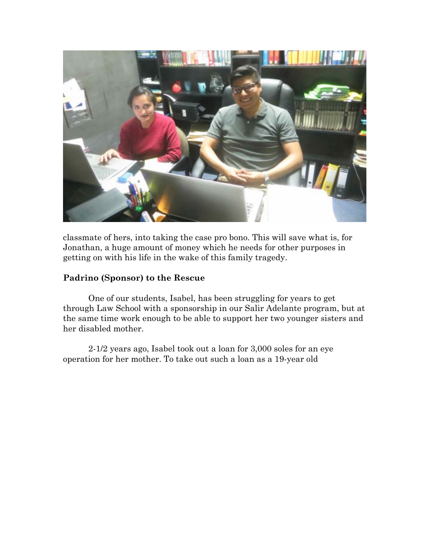

classmate of hers, into taking the case pro bono. This will save what is, for Jonathan, a huge amount of money which he needs for other purposes in getting on with his life in the wake of this family tragedy.

#### **Padrino (Sponsor) to the Rescue**

One of our students, Isabel, has been struggling for years to get through Law School with a sponsorship in our Salir Adelante program, but at the same time work enough to be able to support her two younger sisters and her disabled mother.

2-1/2 years ago, Isabel took out a loan for 3,000 soles for an eye operation for her mother. To take out such a loan as a 19-year old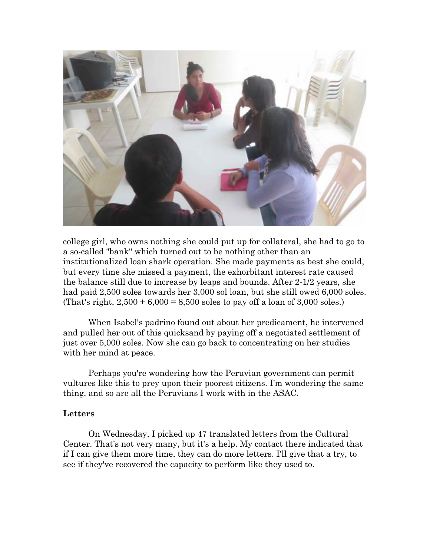

college girl, who owns nothing she could put up for collateral, she had to go to a so-called "bank" which turned out to be nothing other than an institutionalized loan shark operation. She made payments as best she could, but every time she missed a payment, the exhorbitant interest rate caused the balance still due to increase by leaps and bounds. After 2-1/2 years, she had paid 2,500 soles towards her 3,000 sol loan, but she still owed 6,000 soles. (That's right,  $2,500 + 6,000 = 8,500$  soles to pay off a loan of 3,000 soles.)

When Isabel's padrino found out about her predicament, he intervened and pulled her out of this quicksand by paying off a negotiated settlement of just over 5,000 soles. Now she can go back to concentrating on her studies with her mind at peace.

Perhaps you're wondering how the Peruvian government can permit vultures like this to prey upon their poorest citizens. I'm wondering the same thing, and so are all the Peruvians I work with in the ASAC.

#### **Letters**

On Wednesday, I picked up 47 translated letters from the Cultural Center. That's not very many, but it's a help. My contact there indicated that if I can give them more time, they can do more letters. I'll give that a try, to see if they've recovered the capacity to perform like they used to.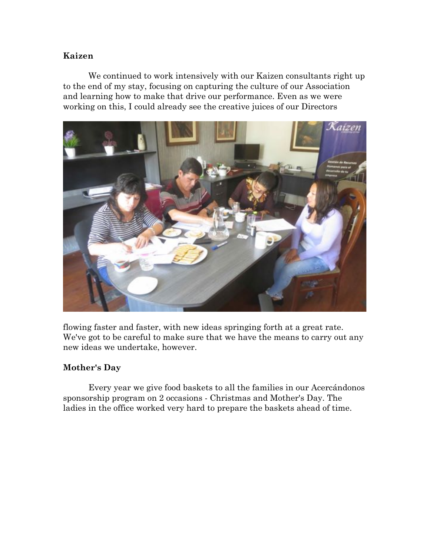### **Kaizen**

We continued to work intensively with our Kaizen consultants right up to the end of my stay, focusing on capturing the culture of our Association and learning how to make that drive our performance. Even as we were working on this, I could already see the creative juices of our Directors



flowing faster and faster, with new ideas springing forth at a great rate. We've got to be careful to make sure that we have the means to carry out any new ideas we undertake, however.

# **Mother's Day**

Every year we give food baskets to all the families in our Acercándonos sponsorship program on 2 occasions - Christmas and Mother's Day. The ladies in the office worked very hard to prepare the baskets ahead of time.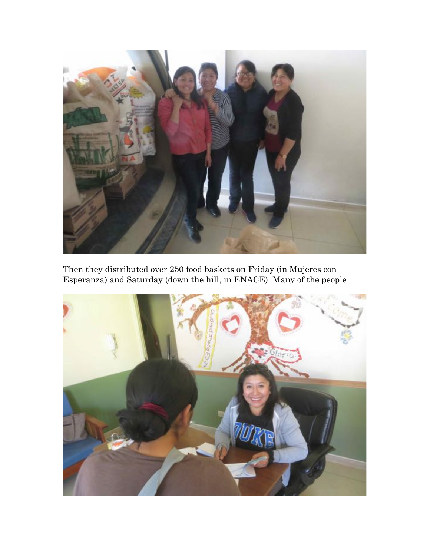

Then they distributed over 250 food baskets on Friday (in Mujeres con Esperanza) and Saturday (down the hill, in ENACE). Many of the people

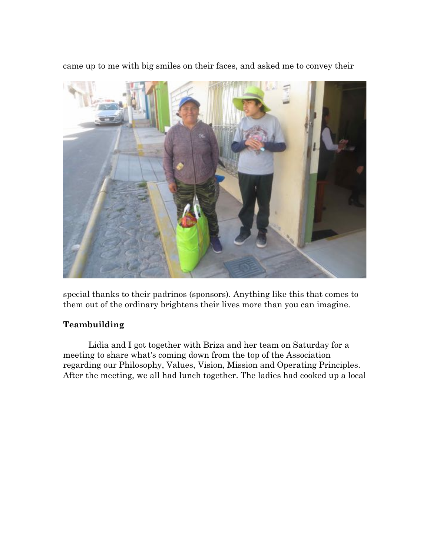came up to me with big smiles on their faces, and asked me to convey their



special thanks to their padrinos (sponsors). Anything like this that comes to them out of the ordinary brightens their lives more than you can imagine.

# **Teambuilding**

Lidia and I got together with Briza and her team on Saturday for a meeting to share what's coming down from the top of the Association regarding our Philosophy, Values, Vision, Mission and Operating Principles. After the meeting, we all had lunch together. The ladies had cooked up a local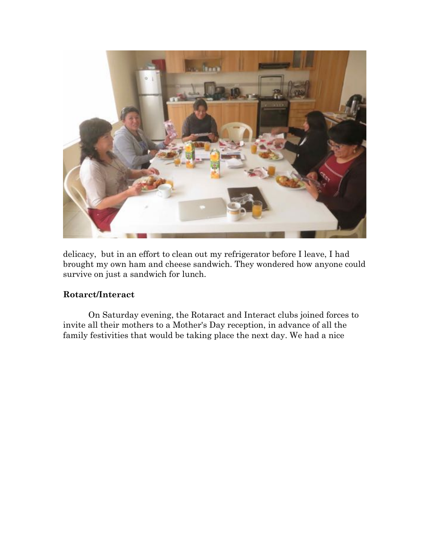

delicacy, but in an effort to clean out my refrigerator before I leave, I had brought my own ham and cheese sandwich. They wondered how anyone could survive on just a sandwich for lunch.

# **Rotarct/Interact**

On Saturday evening, the Rotaract and Interact clubs joined forces to invite all their mothers to a Mother's Day reception, in advance of all the family festivities that would be taking place the next day. We had a nice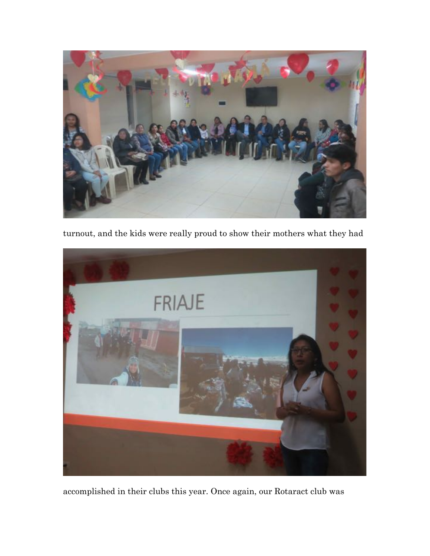

turnout, and the kids were really proud to show their mothers what they had



accomplished in their clubs this year. Once again, our Rotaract club was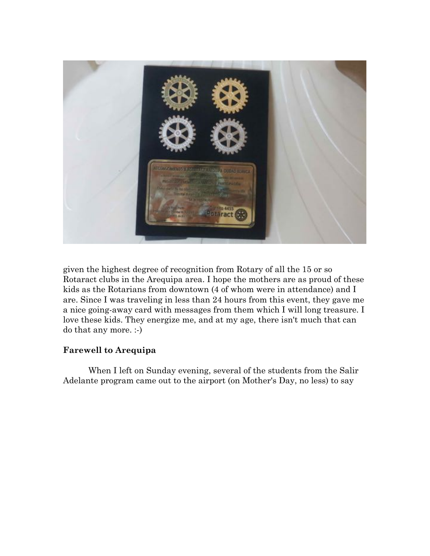

given the highest degree of recognition from Rotary of all the 15 or so Rotaract clubs in the Arequipa area. I hope the mothers are as proud of these kids as the Rotarians from downtown (4 of whom were in attendance) and I are. Since I was traveling in less than 24 hours from this event, they gave me a nice going-away card with messages from them which I will long treasure. I love these kids. They energize me, and at my age, there isn't much that can do that any more. :-)

#### **Farewell to Arequipa**

When I left on Sunday evening, several of the students from the Salir Adelante program came out to the airport (on Mother's Day, no less) to say